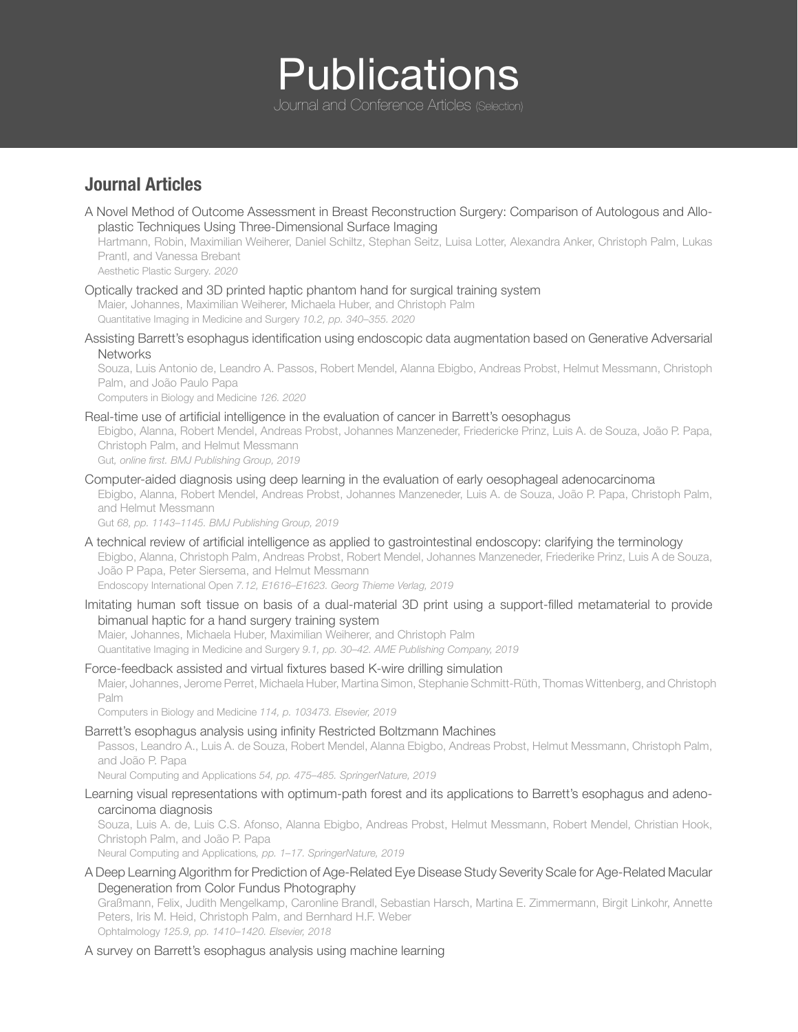# **Publications**

Journal and Conference Articles (Selection)

# **Journal Articles**

A Novel Method of Outcome Assessment in Breast Reconstruction Surgery: Comparison of Autologous and Alloplastic Techniques Using Three-Dimensional Surface Imaging Hartmann, Robin, Maximilian Weiherer, Daniel Schiltz, Stephan Seitz, Luisa Lotter, Alexandra Anker, Christoph Palm, Lukas Prantl, and Vanessa Brebant

Aesthetic Plastic Surgery*. 2020*

Optically tracked and 3D printed haptic phantom hand for surgical training system

Maier, Johannes, Maximilian Weiherer, Michaela Huber, and Christoph Palm Quantitative Imaging in Medicine and Surgery *10.2, pp. 340–355. 2020*

Assisting Barrett's esophagus identification using endoscopic data augmentation based on Generative Adversarial **Networks** 

Souza, Luis Antonio de, Leandro A. Passos, Robert Mendel, Alanna Ebigbo, Andreas Probst, Helmut Messmann, Christoph Palm, and João Paulo Papa

Computers in Biology and Medicine *126. 2020*

Real-time use of artificial intelligence in the evaluation of cancer in Barrett's oesophagus

Ebigbo, Alanna, Robert Mendel, Andreas Probst, Johannes Manzeneder, Friedericke Prinz, Luis A. de Souza, João P. Papa, Christoph Palm, and Helmut Messmann

Gut*, online first. BMJ Publishing Group, 2019*

Computer-aided diagnosis using deep learning in the evaluation of early oesophageal adenocarcinoma

Ebigbo, Alanna, Robert Mendel, Andreas Probst, Johannes Manzeneder, Luis A. de Souza, João P. Papa, Christoph Palm, and Helmut Messmann

Gut *68, pp. 1143–1145. BMJ Publishing Group, 2019*

- A technical review of artificial intelligence as applied to gastrointestinal endoscopy: clarifying the terminology Ebigbo, Alanna, Christoph Palm, Andreas Probst, Robert Mendel, Johannes Manzeneder, Friederike Prinz, Luis A de Souza, João P Papa, Peter Siersema, and Helmut Messmann Endoscopy International Open *7.12, E1616–E1623. Georg Thieme Verlag, 2019*
- Imitating human soft tissue on basis of a dual-material 3D print using a support-filled metamaterial to provide bimanual haptic for a hand surgery training system

Maier, Johannes, Michaela Huber, Maximilian Weiherer, and Christoph Palm Quantitative Imaging in Medicine and Surgery *9.1, pp. 30–42. AME Publishing Company, 2019*

Force-feedback assisted and virtual fixtures based K-wire drilling simulation Maier, Johannes, Jerome Perret, Michaela Huber, Martina Simon, Stephanie Schmitt-Rüth, Thomas Wittenberg, and Christoph Palm

Computers in Biology and Medicine *114, p. 103473. Elsevier, 2019*

Barrett's esophagus analysis using infinity Restricted Boltzmann Machines

Passos, Leandro A., Luis A. de Souza, Robert Mendel, Alanna Ebigbo, Andreas Probst, Helmut Messmann, Christoph Palm, and João P. Papa

Neural Computing and Applications *54, pp. 475–485. SpringerNature, 2019*

Learning visual representations with optimum-path forest and its applications to Barrett's esophagus and adenocarcinoma diagnosis

Souza, Luis A. de, Luis C.S. Afonso, Alanna Ebigbo, Andreas Probst, Helmut Messmann, Robert Mendel, Christian Hook, Christoph Palm, and João P. Papa

Neural Computing and Applications*, pp. 1–17. SpringerNature, 2019*

A Deep Learning Algorithm for Prediction of Age-Related Eye Disease Study Severity Scale for Age-Related Macular Degeneration from Color Fundus Photography

Graßmann, Felix, Judith Mengelkamp, Caronline Brandl, Sebastian Harsch, Martina E. Zimmermann, Birgit Linkohr, Annette Peters, Iris M. Heid, Christoph Palm, and Bernhard H.F. Weber Ophtalmology *125.9, pp. 1410–1420. Elsevier, 2018*

#### A survey on Barrett's esophagus analysis using machine learning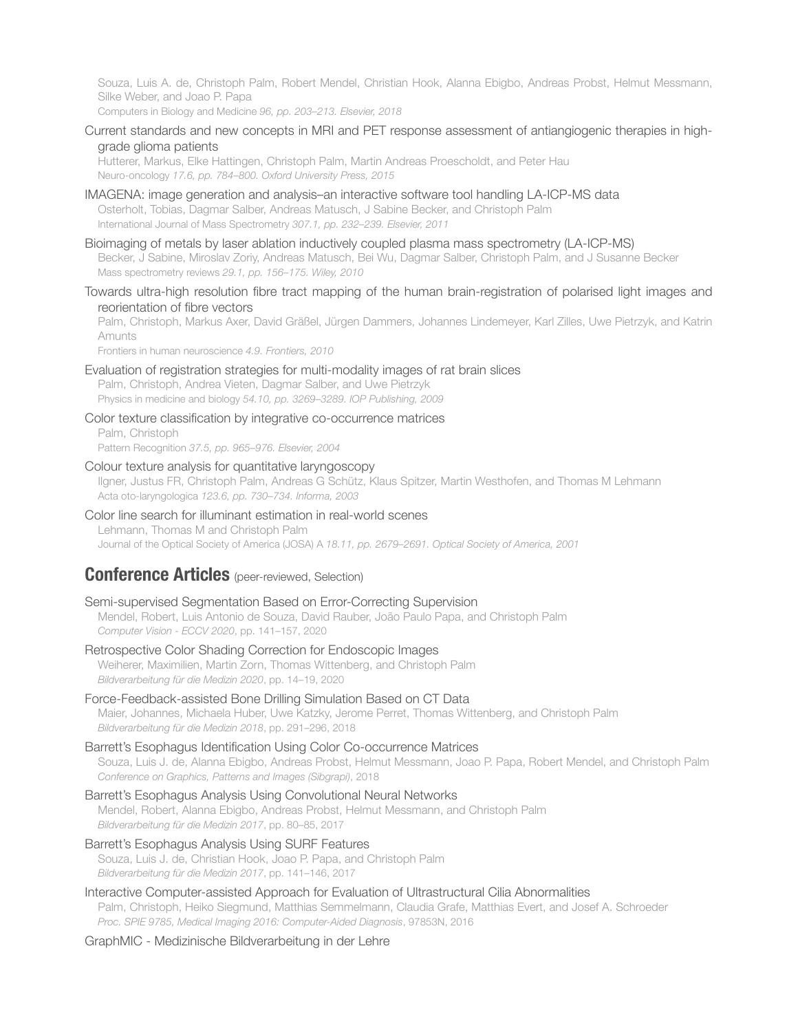Souza, Luis A. de, Christoph Palm, Robert Mendel, Christian Hook, Alanna Ebigbo, Andreas Probst, Helmut Messmann, Silke Weber, and Joao P. Papa

Computers in Biology and Medicine *96, pp. 203–213. Elsevier, 2018*

Current standards and new concepts in MRI and PET response assessment of antiangiogenic therapies in highgrade glioma patients

Hutterer, Markus, Elke Hattingen, Christoph Palm, Martin Andreas Proescholdt, and Peter Hau Neuro-oncology *17.6, pp. 784–800. Oxford University Press, 2015*

- IMAGENA: image generation and analysis–an interactive software tool handling LA-ICP-MS data Osterholt, Tobias, Dagmar Salber, Andreas Matusch, J Sabine Becker, and Christoph Palm International Journal of Mass Spectrometry *307.1, pp. 232–239. Elsevier, 2011*
- Bioimaging of metals by laser ablation inductively coupled plasma mass spectrometry (LA-ICP-MS) Becker, J Sabine, Miroslav Zoriy, Andreas Matusch, Bei Wu, Dagmar Salber, Christoph Palm, and J Susanne Becker Mass spectrometry reviews *29.1, pp. 156–175. Wiley, 2010*
- Towards ultra-high resolution fibre tract mapping of the human brain-registration of polarised light images and reorientation of fibre vectors

Palm, Christoph, Markus Axer, David Gräßel, Jürgen Dammers, Johannes Lindemeyer, Karl Zilles, Uwe Pietrzyk, and Katrin Amunts

Frontiers in human neuroscience *4.9. Frontiers, 2010*

Evaluation of registration strategies for multi-modality images of rat brain slices

Palm, Christoph, Andrea Vieten, Dagmar Salber, and Uwe Pietrzyk Physics in medicine and biology *54.10, pp. 3269–3289. IOP Publishing, 2009*

Color texture classification by integrative co-occurrence matrices Palm, Christoph Pattern Recognition *37.5, pp. 965–976. Elsevier, 2004*

Colour texture analysis for quantitative laryngoscopy

Ilgner, Justus FR, Christoph Palm, Andreas G Schütz, Klaus Spitzer, Martin Westhofen, and Thomas M Lehmann Acta oto-laryngologica *123.6, pp. 730–734. Informa, 2003*

#### Color line search for illuminant estimation in real-world scenes

Lehmann, Thomas M and Christoph Palm

Journal of the Optical Society of America (JOSA) A *18.11, pp. 2679–2691. Optical Society of America, 2001*

# **Conference Articles** (peer-reviewed, Selection)

## Semi-supervised Segmentation Based on Error-Correcting Supervision

Mendel, Robert, Luis Antonio de Souza, David Rauber, João Paulo Papa, and Christoph Palm *Computer Vision - ECCV 2020*, pp. 141–157, 2020

#### Retrospective Color Shading Correction for Endoscopic Images

Weiherer, Maximilien, Martin Zorn, Thomas Wittenberg, and Christoph Palm *Bildverarbeitung für die Medizin 2020*, pp. 14–19, 2020

#### Force-Feedback-assisted Bone Drilling Simulation Based on CT Data

Maier, Johannes, Michaela Huber, Uwe Katzky, Jerome Perret, Thomas Wittenberg, and Christoph Palm *Bildverarbeitung für die Medizin 2018*, pp. 291–296, 2018

#### Barrett's Esophagus Identification Using Color Co-occurrence Matrices

Souza, Luis J. de, Alanna Ebigbo, Andreas Probst, Helmut Messmann, Joao P. Papa, Robert Mendel, and Christoph Palm *Conference on Graphics, Patterns and Images (Sibgrapi)*, 2018

Barrett's Esophagus Analysis Using Convolutional Neural Networks Mendel, Robert, Alanna Ebigbo, Andreas Probst, Helmut Messmann, and Christoph Palm *Bildverarbeitung für die Medizin 2017*, pp. 80–85, 2017

#### Barrett's Esophagus Analysis Using SURF Features Souza, Luis J. de, Christian Hook, Joao P. Papa, and Christoph Palm *Bildverarbeitung für die Medizin 2017*, pp. 141–146, 2017

Interactive Computer-assisted Approach for Evaluation of Ultrastructural Cilia Abnormalities Palm, Christoph, Heiko Siegmund, Matthias Semmelmann, Claudia Grafe, Matthias Evert, and Josef A. Schroeder *Proc. SPIE 9785, Medical Imaging 2016: Computer-Aided Diagnosis*, 97853N, 2016

#### GraphMIC - Medizinische Bildverarbeitung in der Lehre